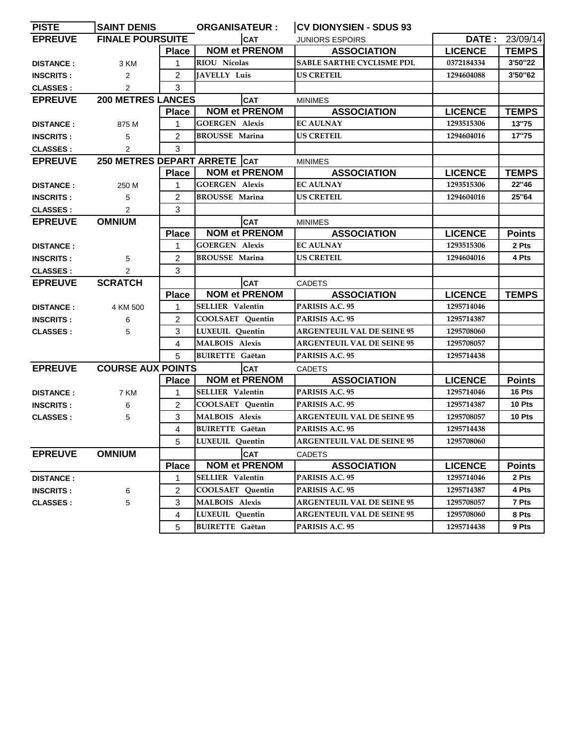| <b>PISTE</b>     | <b>SAINT DENIS</b>       |                | <b>ORGANISATEUR:</b>         | <b>CV DIONYSIEN - SDUS 93</b>     |                |                |
|------------------|--------------------------|----------------|------------------------------|-----------------------------------|----------------|----------------|
| <b>EPREUVE</b>   | <b>FINALE POURSUITE</b>  |                | <b>CAT</b>                   | <b>JUNIORS ESPOIRS</b>            |                | DATE: 23/09/14 |
|                  |                          | Place          | <b>NOM et PRENOM</b>         | <b>ASSOCIATION</b>                | <b>LICENCE</b> | <b>TEMPS</b>   |
| <b>DISTANCE:</b> | 3 KM                     | 1              | <b>RIOU Nicolas</b>          | SABLE SARTHE CYCLISME PDL         | 0372184334     | 3'50"22        |
| <b>INSCRITS:</b> | 2                        | $\overline{2}$ | <b>JAVELLY Luis</b>          | <b>US CRETEIL</b>                 | 1294604088     | 3'50"62        |
| <b>CLASSES:</b>  | $\overline{2}$           | 3              |                              |                                   |                |                |
| <b>EPREUVE</b>   | <b>200 METRES LANCES</b> |                | <b>CAT</b>                   | <b>MINIMES</b>                    |                |                |
|                  |                          | <b>Place</b>   | <b>NOM et PRENOM</b>         | <b>ASSOCIATION</b>                | <b>LICENCE</b> | <b>TEMPS</b>   |
| <b>DISTANCE:</b> | 875 M                    | 1              | <b>GOERGEN Alexis</b>        | <b>EC AULNAY</b>                  | 1293515306     | 13"75          |
| <b>INSCRITS:</b> | 5                        | $\overline{2}$ | <b>BROUSSE Marina</b>        | <b>US CRETEIL</b>                 | 1294604016     | 17"75          |
| <b>CLASSES:</b>  | $\overline{2}$           | 3              |                              |                                   |                |                |
| <b>EPREUVE</b>   |                          |                | 250 METRES DEPART ARRETE CAT | <b>MINIMES</b>                    |                |                |
|                  |                          | <b>Place</b>   | <b>NOM et PRENOM</b>         | <b>ASSOCIATION</b>                | <b>LICENCE</b> | <b>TEMPS</b>   |
| <b>DISTANCE:</b> | 250 M                    | 1              | <b>GOERGEN Alexis</b>        | <b>EC AULNAY</b>                  | 1293515306     | 22"46          |
| <b>INSCRITS:</b> | 5                        | 2              | <b>BROUSSE Marina</b>        | <b>US CRETEIL</b>                 | 1294604016     | 25"64          |
| <b>CLASSES:</b>  | 2                        | 3              |                              |                                   |                |                |
| <b>EPREUVE</b>   | <b>OMNIUM</b>            |                | <b>CAT</b>                   | <b>MINIMES</b>                    |                |                |
|                  |                          | <b>Place</b>   | <b>NOM et PRENOM</b>         | <b>ASSOCIATION</b>                | <b>LICENCE</b> | <b>Points</b>  |
| <b>DISTANCE:</b> |                          | 1              | <b>GOERGEN Alexis</b>        | <b>EC AULNAY</b>                  | 1293515306     | 2 Pts          |
| <b>INSCRITS:</b> | 5                        | 2              | <b>BROUSSE Marina</b>        | <b>US CRETEIL</b>                 | 1294604016     | 4 Pts          |
| <b>CLASSES:</b>  | $\overline{2}$           | 3              |                              |                                   |                |                |
| <b>EPREUVE</b>   | <b>SCRATCH</b>           |                | <b>CAT</b>                   | <b>CADETS</b>                     |                |                |
|                  |                          | <b>Place</b>   | <b>NOM et PRENOM</b>         | <b>ASSOCIATION</b>                | <b>LICENCE</b> | <b>TEMPS</b>   |
| <b>DISTANCE:</b> | 4 KM 500                 | 1              | <b>SELLIER</b> Valentin      | PARISIS A.C. 95                   | 1295714046     |                |
| <b>INSCRITS:</b> | 6                        | $\overline{2}$ | <b>COOLSAET</b> Quentin      | PARISIS A.C. 95                   | 1295714387     |                |
| <b>CLASSES:</b>  | 5                        | 3              | LUXEUIL Quentin              | <b>ARGENTEUIL VAL DE SEINE 95</b> | 1295708060     |                |
|                  |                          | $\overline{4}$ | <b>MALBOIS Alexis</b>        | <b>ARGENTEUIL VAL DE SEINE 95</b> | 1295708057     |                |
|                  |                          | 5              | <b>BUIRETTE</b> Gaëtan       | PARISIS A.C. 95                   | 1295714438     |                |
| <b>EPREUVE</b>   | <b>COURSE AUX POINTS</b> |                | <b>CAT</b>                   | <b>CADETS</b>                     |                |                |
|                  |                          | <b>Place</b>   | <b>NOM et PRENOM</b>         | <b>ASSOCIATION</b>                | <b>LICENCE</b> | <b>Points</b>  |
| <b>DISTANCE:</b> | 7 KM                     | 1              | <b>SELLIER</b> Valentin      | PARISIS A.C. 95                   | 1295714046     | 16 Pts         |
| <b>INSCRITS:</b> | 6                        | 2              | COOLSAET Quentin             | PARISIS A.C. 95                   | 1295714387     | 10 Pts         |
| <b>CLASSES:</b>  | 5                        | 3              | <b>MALBOIS Alexis</b>        | <b>ARGENTEUIL VAL DE SEINE 95</b> | 1295708057     | 10 Pts         |
|                  |                          | 4              | <b>BUIRETTE</b> Gaëtan       | PARISIS A.C. 95                   | 1295714438     |                |
|                  |                          | 5              | LUXEUIL Quentin              | <b>ARGENTEUIL VAL DE SEINE 95</b> | 1295708060     |                |
| <b>EPREUVE</b>   | <b>OMNIUM</b>            |                | <b>CAT</b>                   | <b>CADETS</b>                     |                |                |
|                  |                          | <b>Place</b>   | <b>NOM et PRENOM</b>         | <b>ASSOCIATION</b>                | <b>LICENCE</b> | <b>Points</b>  |
| <b>DISTANCE:</b> |                          | 1              | <b>SELLIER Valentin</b>      | PARISIS A.C. 95                   | 1295714046     | 2 Pts          |
| <b>INSCRITS:</b> | 6                        | 2              | <b>COOLSAET Quentin</b>      | PARISIS A.C. 95                   | 1295714387     | 4 Pts          |
| <b>CLASSES:</b>  | 5                        | 3              | <b>MALBOIS Alexis</b>        | <b>ARGENTEUIL VAL DE SEINE 95</b> | 1295708057     | 7 Pts          |
|                  |                          | 4              | LUXEUIL Quentin              | <b>ARGENTEUIL VAL DE SEINE 95</b> | 1295708060     | 8 Pts          |
|                  |                          | 5              | <b>BUIRETTE</b> Gaëtan       | PARISIS A.C. 95                   | 1295714438     | 9 Pts          |